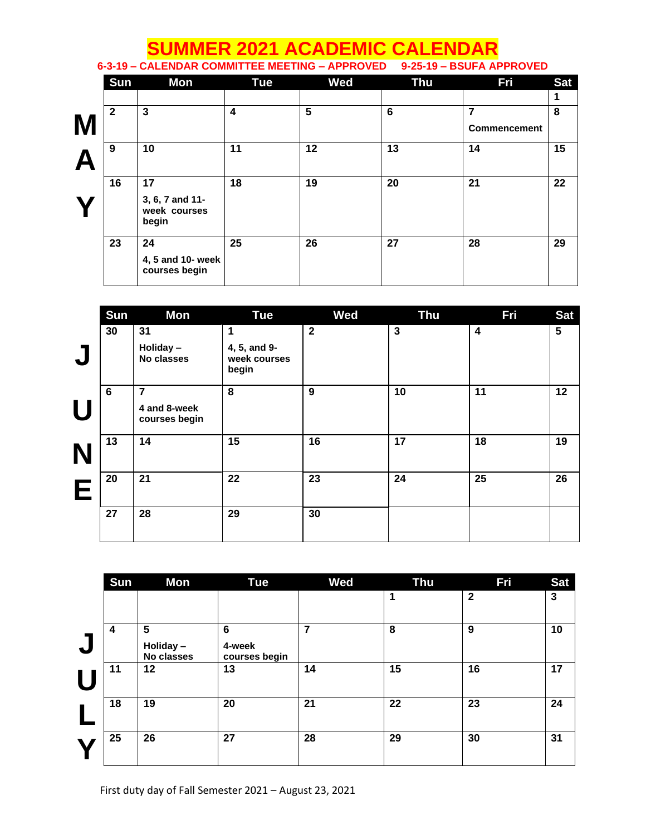## **SUMMER 2021 ACADEMIC CALENDAR**

**6-3-19 – CALENDAR COMMITTEE MEETING – APPROVED 9-25-19 – BSUFA APPROVED**

|   | <b>Sun</b>   | Mon                                            | Tue                     | <b>Wed</b> | <b>Thu</b> | Fri                 | <b>Sat</b> |
|---|--------------|------------------------------------------------|-------------------------|------------|------------|---------------------|------------|
|   |              |                                                |                         |            |            |                     | 1          |
|   | $\mathbf{2}$ | 3                                              | $\overline{\mathbf{4}}$ | 5          | 6          | 7                   | 8          |
| M |              |                                                |                         |            |            | <b>Commencement</b> |            |
|   | 9            | 10                                             | 11                      | 12         | 13         | 14                  | 15         |
|   | 16           | 17<br>3, 6, 7 and 11-<br>week courses<br>begin | 18                      | 19         | 20         | 21                  | 22         |
|   | 23           | 24<br>4, 5 and 10- week<br>courses begin       | 25                      | 26         | 27         | 28                  | 29         |

|              | Sun | Mon                           | <b>Tue</b>                            | <b>Wed</b>   | <b>Thu</b>  | <b>Fri</b> | <b>Sat</b>      |
|--------------|-----|-------------------------------|---------------------------------------|--------------|-------------|------------|-----------------|
|              | 30  | 31                            | 1                                     | $\mathbf{2}$ | $\mathbf 3$ | 4          | $5\phantom{.0}$ |
| $\mathbf{L}$ |     | Holiday-<br>No classes        | 4, 5, and 9-<br>week courses<br>begin |              |             |            |                 |
|              | 6   | 7                             | 8                                     | 9            | 10          | 11         | 12              |
| Ш            |     | 4 and 8-week<br>courses begin |                                       |              |             |            |                 |
|              | 13  | 14                            | 15                                    | 16           | 17          | 18         | 19              |
| Е            | 20  | 21                            | 22                                    | 23           | 24          | 25         | 26              |
|              | 27  | 28                            | 29                                    | 30           |             |            |                 |

|   | Sun | Mon                         | <b>Tue</b>                                 | <b>Wed</b> | <b>Thu</b> | Fri          | <b>Sat</b>   |
|---|-----|-----------------------------|--------------------------------------------|------------|------------|--------------|--------------|
|   |     |                             |                                            |            | 1          | $\mathbf{2}$ | $\mathbf{3}$ |
| L | 4   | 5<br>Holiday-<br>No classes | $6\phantom{1}6$<br>4-week<br>courses begin | 7          | 8          | 9            | 10           |
|   | 11  | 12                          | 13                                         | 14         | 15         | 16           | 17           |
|   | 18  | 19                          | 20                                         | 21         | 22         | 23           | 24           |
|   | 25  | 26                          | 27                                         | 28         | 29         | 30           | 31           |